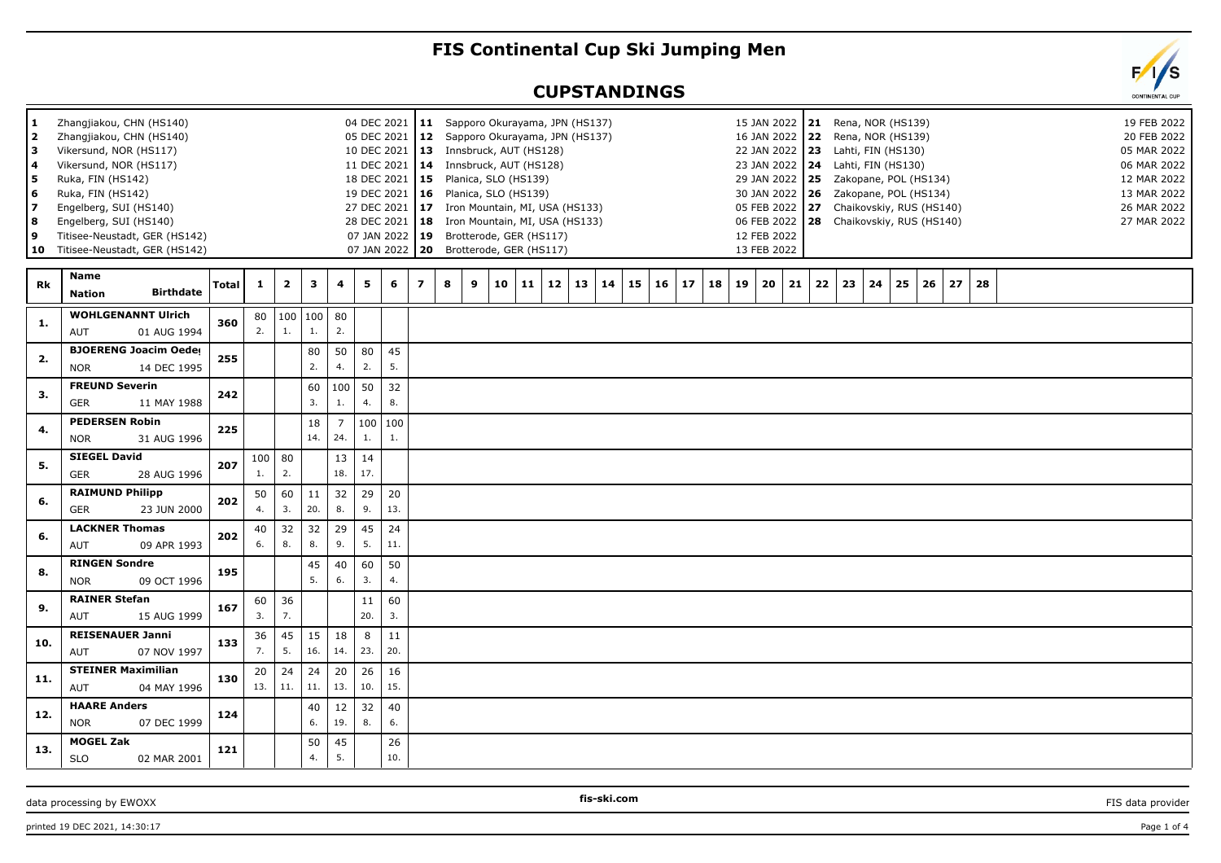## **FIS Continental Cup Ski Jumping Men**

## **CUPSTANDINGS**

| 1<br>2<br>з<br>4<br>5<br>6<br>7<br>8<br>9<br>10 | Zhangjiakou, CHN (HS140)<br>Zhangjiakou, CHN (HS140)<br>Vikersund, NOR (HS117)<br>Vikersund, NOR (HS117)<br>Ruka, FIN (HS142)<br>Ruka, FIN (HS142)<br>Engelberg, SUI (HS140)<br>Engelberg, SUI (HS140)<br>Titisee-Neustadt, GER (HS142)<br>Titisee-Neustadt, GER (HS142) |              |                |                                 |           |                       |           | 18 DEC 2021<br>19 DEC 2021<br>27 DEC 2021 |                | 04 DEC 2021 11 Sapporo Okurayama, JPN (HS137)<br>05 DEC 2021   12 Sapporo Okurayama, JPN (HS137)<br>10 DEC 2021   13 Innsbruck, AUT (HS128)<br>11 DEC 2021   14 Innsbruck, AUT (HS128)<br>$15$ Planica, SLO (HS139)<br>16 Planica, SLO (HS139)<br>17 Iron Mountain, MI, USA (HS133)<br>28 DEC 2021   18 Iron Mountain, MI, USA (HS133)<br>07 JAN 2022   19 Brotterode, GER (HS117)<br>07 JAN 2022   20 Brotterode, GER (HS117) |    |    |    |    |    |    |    |          |    | 15 JAN 2022 21<br>16 JAN 2022   22 Rena, NOR (HS139)<br>22 JAN 2022 23 Lahti, FIN (HS130)<br>23 JAN 2022   24 Lahti, FIN (HS130)<br>29 JAN 2022   25  Zakopane, POL (HS134)<br>30 JAN 2022   26  Zakopane, POL (HS134)<br>05 FEB 2022 27 Chaikovskiy, RUS (HS140)<br>06 FEB 2022   28 Chaikovskiy, RUS (HS140)<br>12 FEB 2022<br>13 FEB 2022 |    |    | Rena, NOR (HS139) |          |    |    |  |  | 19 FEB 2022<br>20 FEB 2022<br>05 MAR 2022<br>06 MAR 2022<br>12 MAR 2022<br>13 MAR 2022<br>26 MAR 2022<br>27 MAR 2022 |  |
|-------------------------------------------------|--------------------------------------------------------------------------------------------------------------------------------------------------------------------------------------------------------------------------------------------------------------------------|--------------|----------------|---------------------------------|-----------|-----------------------|-----------|-------------------------------------------|----------------|--------------------------------------------------------------------------------------------------------------------------------------------------------------------------------------------------------------------------------------------------------------------------------------------------------------------------------------------------------------------------------------------------------------------------------|----|----|----|----|----|----|----|----------|----|----------------------------------------------------------------------------------------------------------------------------------------------------------------------------------------------------------------------------------------------------------------------------------------------------------------------------------------------|----|----|-------------------|----------|----|----|--|--|----------------------------------------------------------------------------------------------------------------------|--|
| Rk                                              | Name<br><b>Birthdate</b><br>Nation                                                                                                                                                                                                                                       | <b>Total</b> | 1              | $\overline{2}$                  | 3         | 4                     | 5         | 6                                         | $\overline{ }$ | 8<br>9                                                                                                                                                                                                                                                                                                                                                                                                                         | 10 | 11 | 12 | 13 | 14 | 15 | 16 | 17<br>18 | 19 | 21<br>20                                                                                                                                                                                                                                                                                                                                     | 22 | 23 | 24                | 25<br>26 | 27 | 28 |  |  |                                                                                                                      |  |
| 1.                                              | <b>WOHLGENANNT Ulrich</b><br>AUT<br>01 AUG 1994                                                                                                                                                                                                                          | 360          | 80<br>2.       | $\vert$ 100<br>$\overline{1}$ . | 100<br>1. | 80<br>2.              |           |                                           |                |                                                                                                                                                                                                                                                                                                                                                                                                                                |    |    |    |    |    |    |    |          |    |                                                                                                                                                                                                                                                                                                                                              |    |    |                   |          |    |    |  |  |                                                                                                                      |  |
| 2.                                              | <b>BJOERENG Joacim Oeder</b><br>14 DEC 1995<br><b>NOR</b>                                                                                                                                                                                                                | 255          |                |                                 | 80<br>2.  | 50<br>4.              | 80<br>2.  | 45<br>5.                                  |                |                                                                                                                                                                                                                                                                                                                                                                                                                                |    |    |    |    |    |    |    |          |    |                                                                                                                                                                                                                                                                                                                                              |    |    |                   |          |    |    |  |  |                                                                                                                      |  |
| 3.                                              | <b>FREUND Severin</b><br><b>GER</b><br>11 MAY 1988                                                                                                                                                                                                                       | 242          |                |                                 | 60<br>3.  | 100<br>1.             | 50<br>4.  | 32<br>8.                                  |                |                                                                                                                                                                                                                                                                                                                                                                                                                                |    |    |    |    |    |    |    |          |    |                                                                                                                                                                                                                                                                                                                                              |    |    |                   |          |    |    |  |  |                                                                                                                      |  |
| 4.                                              | <b>PEDERSEN Robin</b><br>31 AUG 1996<br><b>NOR</b>                                                                                                                                                                                                                       | 225          |                |                                 | 18<br>14. | $\overline{7}$<br>24. | 100<br>1. | 100<br>1.                                 |                |                                                                                                                                                                                                                                                                                                                                                                                                                                |    |    |    |    |    |    |    |          |    |                                                                                                                                                                                                                                                                                                                                              |    |    |                   |          |    |    |  |  |                                                                                                                      |  |
| 5.                                              | <b>SIEGEL David</b><br>GER<br>28 AUG 1996                                                                                                                                                                                                                                | 207          | 100   80<br>1. | 2.                              |           | 13<br>18.             | 14<br>17. |                                           |                |                                                                                                                                                                                                                                                                                                                                                                                                                                |    |    |    |    |    |    |    |          |    |                                                                                                                                                                                                                                                                                                                                              |    |    |                   |          |    |    |  |  |                                                                                                                      |  |
| 6.                                              | <b>RAIMUND Philipp</b><br><b>GER</b><br>23 JUN 2000                                                                                                                                                                                                                      | 202          | 50<br>4.       | 60<br>3.                        | 11<br>20. | 32<br>8.              | 29<br>9.  | 20<br>13.                                 |                |                                                                                                                                                                                                                                                                                                                                                                                                                                |    |    |    |    |    |    |    |          |    |                                                                                                                                                                                                                                                                                                                                              |    |    |                   |          |    |    |  |  |                                                                                                                      |  |
| 6.                                              | <b>LACKNER Thomas</b><br>AUT<br>09 APR 1993                                                                                                                                                                                                                              | 202          | 40<br>6.       | 32<br>8.                        | 32<br>8.  | 29<br>9.              | 45<br>5.  | 24<br>11.                                 |                |                                                                                                                                                                                                                                                                                                                                                                                                                                |    |    |    |    |    |    |    |          |    |                                                                                                                                                                                                                                                                                                                                              |    |    |                   |          |    |    |  |  |                                                                                                                      |  |
| 8.                                              | <b>RINGEN Sondre</b><br>09 OCT 1996<br><b>NOR</b>                                                                                                                                                                                                                        | 195          |                |                                 | 45<br>5.  | 40<br>6.              | 60<br>3.  | 50<br>4.                                  |                |                                                                                                                                                                                                                                                                                                                                                                                                                                |    |    |    |    |    |    |    |          |    |                                                                                                                                                                                                                                                                                                                                              |    |    |                   |          |    |    |  |  |                                                                                                                      |  |
| 9.                                              | <b>RAINER Stefan</b><br>15 AUG 1999<br>AUT                                                                                                                                                                                                                               | 167          | 60<br>3.       | 36<br>7.                        |           |                       | 11<br>20. | 60<br>3.                                  |                |                                                                                                                                                                                                                                                                                                                                                                                                                                |    |    |    |    |    |    |    |          |    |                                                                                                                                                                                                                                                                                                                                              |    |    |                   |          |    |    |  |  |                                                                                                                      |  |
| 10.                                             | <b>REISENAUER Janni</b><br>07 NOV 1997<br>AUT                                                                                                                                                                                                                            | 133          | 36<br>7.       | 45<br>5.                        | 15<br>16. | 18<br>14.             | 8<br>23.  | 11<br>20.                                 |                |                                                                                                                                                                                                                                                                                                                                                                                                                                |    |    |    |    |    |    |    |          |    |                                                                                                                                                                                                                                                                                                                                              |    |    |                   |          |    |    |  |  |                                                                                                                      |  |
| 11.                                             | <b>STEINER Maximilian</b><br>AUT<br>04 MAY 1996                                                                                                                                                                                                                          | 130          | 20<br>13.      | 24<br>11.                       | 24<br>11. | 20<br>13.             | 26<br>10. | 16<br>15.                                 |                |                                                                                                                                                                                                                                                                                                                                                                                                                                |    |    |    |    |    |    |    |          |    |                                                                                                                                                                                                                                                                                                                                              |    |    |                   |          |    |    |  |  |                                                                                                                      |  |
| 12.                                             | <b>HAARE Anders</b><br>07 DEC 1999<br><b>NOR</b>                                                                                                                                                                                                                         | 124          |                |                                 | 40<br>6.  | 12<br>19.             | 32<br>8.  | 40<br>6.                                  |                |                                                                                                                                                                                                                                                                                                                                                                                                                                |    |    |    |    |    |    |    |          |    |                                                                                                                                                                                                                                                                                                                                              |    |    |                   |          |    |    |  |  |                                                                                                                      |  |
| 13.                                             | <b>MOGEL Zak</b><br><b>SLO</b><br>02 MAR 2001                                                                                                                                                                                                                            | 121          |                |                                 | 50<br>4.  | 45<br>5.              |           | 26<br>10.                                 |                |                                                                                                                                                                                                                                                                                                                                                                                                                                |    |    |    |    |    |    |    |          |    |                                                                                                                                                                                                                                                                                                                                              |    |    |                   |          |    |    |  |  |                                                                                                                      |  |

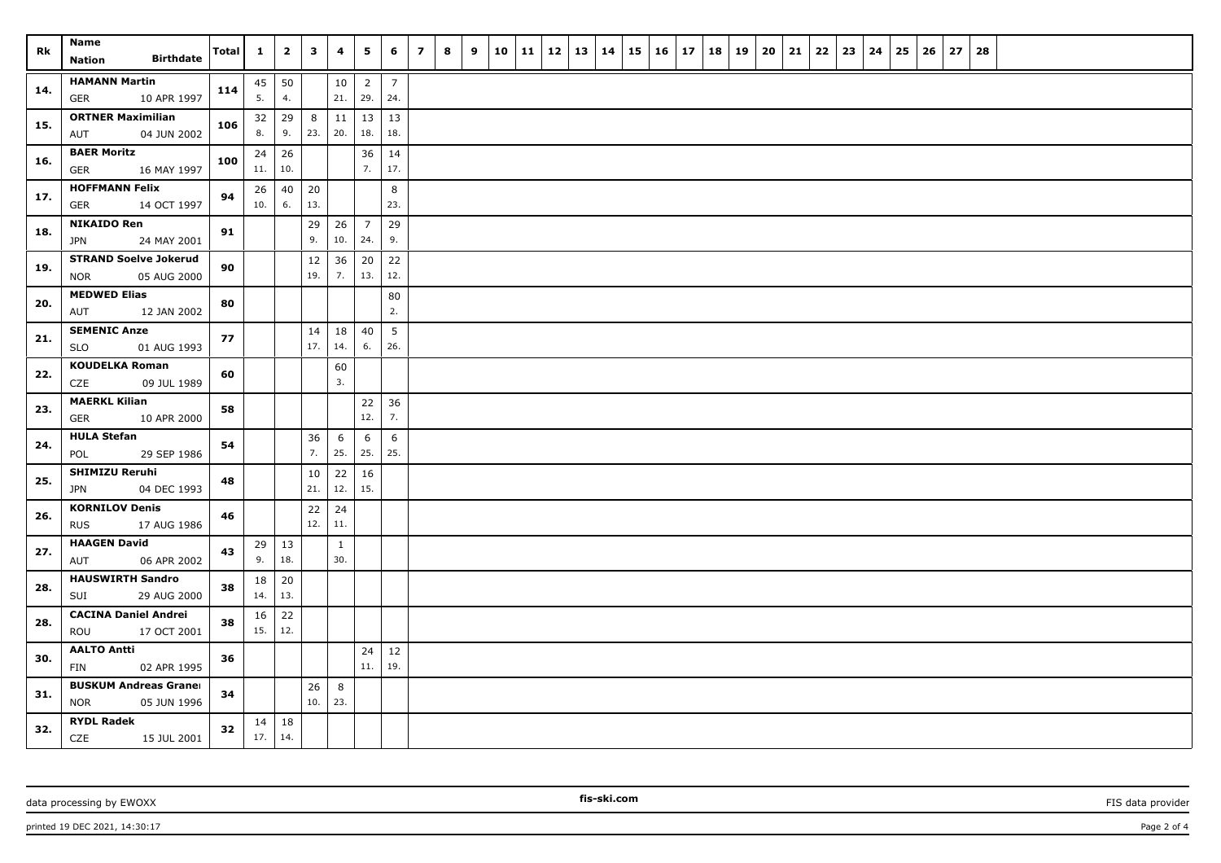| Rk  | <b>Name</b><br><b>Birthdate</b><br><b>Nation</b>          | Total | $\mathbf{1}$        | $\mathbf{2}$       | $\overline{\mathbf{3}}$ | 4                   | 5                     | 6                     | $\overline{z}$ | 8 | 9 | 10 | 11 | 12 | 13 | 14 | 15 | 16 | 17 | 18 | 19 | 20 | 21 | 22 | 23 | 24 | 25 | 26 | 27 | 28 |  |  |  |
|-----|-----------------------------------------------------------|-------|---------------------|--------------------|-------------------------|---------------------|-----------------------|-----------------------|----------------|---|---|----|----|----|----|----|----|----|----|----|----|----|----|----|----|----|----|----|----|----|--|--|--|
| 14. | <b>HAMANN Martin</b><br>10 APR 1997<br>GER                | 114   | 5.                  | $45 \mid 50$<br>4. |                         | 10<br>21.           | $\overline{2}$<br>29. | $\overline{7}$<br>24. |                |   |   |    |    |    |    |    |    |    |    |    |    |    |    |    |    |    |    |    |    |    |  |  |  |
| 15. | <b>ORTNER Maximilian</b><br>04 JUN 2002<br>AUT            | 106   | 32<br>8.            | 29<br>9.           | 8<br>23.                | 11<br>20.           | 13<br>18.             | 13<br>18.             |                |   |   |    |    |    |    |    |    |    |    |    |    |    |    |    |    |    |    |    |    |    |  |  |  |
| 16. | <b>BAER Moritz</b><br><b>GER</b><br>16 MAY 1997           | 100   | 24<br>11.           | 26<br>10.          |                         |                     | 36<br>7.              | 14<br>17.             |                |   |   |    |    |    |    |    |    |    |    |    |    |    |    |    |    |    |    |    |    |    |  |  |  |
| 17. | <b>HOFFMANN Felix</b><br>GER<br>14 OCT 1997               | 94    | 26<br>10.           | 40<br>6.           | 20<br>13.               |                     |                       | 8<br>23.              |                |   |   |    |    |    |    |    |    |    |    |    |    |    |    |    |    |    |    |    |    |    |  |  |  |
| 18. | <b>NIKAIDO Ren</b><br>24 MAY 2001<br><b>JPN</b>           | 91    |                     |                    | 29<br>9.                | 26<br>10.           | $\overline{7}$<br>24. | 29<br>9.              |                |   |   |    |    |    |    |    |    |    |    |    |    |    |    |    |    |    |    |    |    |    |  |  |  |
| 19. | <b>STRAND Soelve Jokerud</b><br><b>NOR</b><br>05 AUG 2000 | 90    |                     |                    | 12<br>19.               | 36<br>7.            | 20<br>13.             | 22<br>12.             |                |   |   |    |    |    |    |    |    |    |    |    |    |    |    |    |    |    |    |    |    |    |  |  |  |
| 20. | <b>MEDWED Elias</b><br>AUT<br>12 JAN 2002                 | 80    |                     |                    |                         |                     |                       | 80<br>2.              |                |   |   |    |    |    |    |    |    |    |    |    |    |    |    |    |    |    |    |    |    |    |  |  |  |
| 21. | <b>SEMENIC Anze</b><br>SLO<br>01 AUG 1993                 | 77    |                     |                    | 14<br>17.               | 18<br>14.           | 40<br>6.              | 5<br>26.              |                |   |   |    |    |    |    |    |    |    |    |    |    |    |    |    |    |    |    |    |    |    |  |  |  |
| 22. | <b>KOUDELKA Roman</b><br>CZE<br>09 JUL 1989               | 60    |                     |                    |                         | 60<br>3.            |                       |                       |                |   |   |    |    |    |    |    |    |    |    |    |    |    |    |    |    |    |    |    |    |    |  |  |  |
| 23. | <b>MAERKL Kilian</b><br>GER<br>10 APR 2000                | 58    |                     |                    |                         |                     | 22<br>12.             | 36<br>7.              |                |   |   |    |    |    |    |    |    |    |    |    |    |    |    |    |    |    |    |    |    |    |  |  |  |
| 24. | <b>HULA Stefan</b><br>POL<br>29 SEP 1986                  | 54    |                     |                    | 36<br>7.                | 6<br>25.            | 6<br>25.              | 6<br>25.              |                |   |   |    |    |    |    |    |    |    |    |    |    |    |    |    |    |    |    |    |    |    |  |  |  |
| 25. | <b>SHIMIZU Reruhi</b><br><b>JPN</b><br>04 DEC 1993        | 48    |                     |                    | 10<br>21.               | 22<br>12.           | 16<br>15.             |                       |                |   |   |    |    |    |    |    |    |    |    |    |    |    |    |    |    |    |    |    |    |    |  |  |  |
| 26. | <b>KORNILOV Denis</b><br><b>RUS</b><br>17 AUG 1986        | 46    |                     |                    | 22<br>12.               | 24<br>11.           |                       |                       |                |   |   |    |    |    |    |    |    |    |    |    |    |    |    |    |    |    |    |    |    |    |  |  |  |
| 27. | <b>HAAGEN David</b><br>06 APR 2002<br>AUT                 | 43    | 29<br>9.            | 13<br>18.          |                         | $\mathbf{1}$<br>30. |                       |                       |                |   |   |    |    |    |    |    |    |    |    |    |    |    |    |    |    |    |    |    |    |    |  |  |  |
| 28. | <b>HAUSWIRTH Sandro</b><br>SUI<br>29 AUG 2000             | 38    | 18<br>14.           | 20<br>13.          |                         |                     |                       |                       |                |   |   |    |    |    |    |    |    |    |    |    |    |    |    |    |    |    |    |    |    |    |  |  |  |
| 28. | <b>CACINA Daniel Andrei</b><br>17 OCT 2001<br>ROU         | 38    | 16<br>15.           | 22<br>12.          |                         |                     |                       |                       |                |   |   |    |    |    |    |    |    |    |    |    |    |    |    |    |    |    |    |    |    |    |  |  |  |
| 30. | <b>AALTO Antti</b><br>FIN<br>02 APR 1995                  | 36    |                     |                    |                         |                     | 24<br>11.             | 12<br>19.             |                |   |   |    |    |    |    |    |    |    |    |    |    |    |    |    |    |    |    |    |    |    |  |  |  |
| 31. | <b>BUSKUM Andreas Graner</b><br><b>NOR</b><br>05 JUN 1996 | 34    |                     |                    | 26<br>10.               | 8<br>23.            |                       |                       |                |   |   |    |    |    |    |    |    |    |    |    |    |    |    |    |    |    |    |    |    |    |  |  |  |
| 32. | <b>RYDL Radek</b><br>CZE<br>15 JUL 2001                   | 32    | $14 \mid 18$<br>17. | 14.                |                         |                     |                       |                       |                |   |   |    |    |    |    |    |    |    |    |    |    |    |    |    |    |    |    |    |    |    |  |  |  |

data processing by EWOXX **FIS data provider FIS data provider FIS data provider FIS data provider FIS data provider**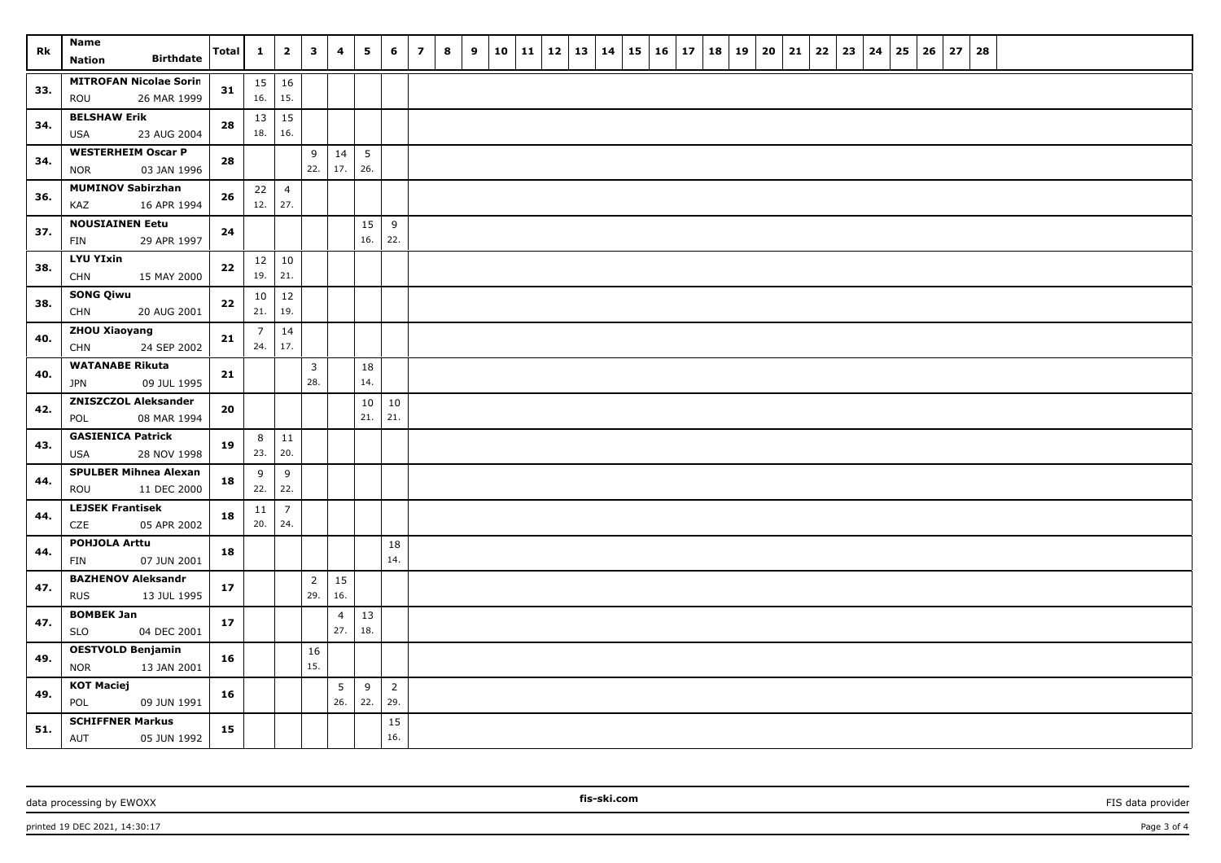| Rk  | <b>Name</b><br><b>Birthdate</b><br><b>Nation</b>       | <b>Total</b> | $\mathbf{1}$          | $\overline{\mathbf{2}}$ | $\overline{\mathbf{3}}$ | 4                     | 5                      | 6                     | $\overline{z}$ | 8 | 9 | 10 | 11 | 12 | 13 | 14 | 15 | 16 | 17 | 18 | 19 | 20 | 21 | 22 | 23 | 24 | 25 | 26 | 27 | 28 |  |  |  |
|-----|--------------------------------------------------------|--------------|-----------------------|-------------------------|-------------------------|-----------------------|------------------------|-----------------------|----------------|---|---|----|----|----|----|----|----|----|----|----|----|----|----|----|----|----|----|----|----|----|--|--|--|
| 33. | <b>MITROFAN Nicolae Sorin</b><br>26 MAR 1999<br>ROU    | 31           | 16.                   | $15 \mid 16$<br>15.     |                         |                       |                        |                       |                |   |   |    |    |    |    |    |    |    |    |    |    |    |    |    |    |    |    |    |    |    |  |  |  |
| 34. | <b>BELSHAW Erik</b><br>23 AUG 2004<br><b>USA</b>       | 28           | 18.                   | $13 \mid 15$<br>16.     |                         |                       |                        |                       |                |   |   |    |    |    |    |    |    |    |    |    |    |    |    |    |    |    |    |    |    |    |  |  |  |
| 34. | <b>WESTERHEIM Oscar P</b><br>03 JAN 1996<br><b>NOR</b> | 28           |                       |                         | 9<br>22.                | 14<br>17.             | $5\phantom{.0}$<br>26. |                       |                |   |   |    |    |    |    |    |    |    |    |    |    |    |    |    |    |    |    |    |    |    |  |  |  |
| 36. | <b>MUMINOV Sabirzhan</b><br>KAZ<br>16 APR 1994         | 26           | 22<br>12.             | $\overline{4}$<br>27.   |                         |                       |                        |                       |                |   |   |    |    |    |    |    |    |    |    |    |    |    |    |    |    |    |    |    |    |    |  |  |  |
| 37. | <b>NOUSIAINEN Eetu</b><br>29 APR 1997<br>FIN           | 24           |                       |                         |                         |                       | 15<br>16.              | 9<br>22.              |                |   |   |    |    |    |    |    |    |    |    |    |    |    |    |    |    |    |    |    |    |    |  |  |  |
| 38. | <b>LYU YIxin</b><br><b>CHN</b><br>15 MAY 2000          | 22           | 19.                   | $12 \mid 10$<br>21.     |                         |                       |                        |                       |                |   |   |    |    |    |    |    |    |    |    |    |    |    |    |    |    |    |    |    |    |    |  |  |  |
| 38. | <b>SONG Qiwu</b><br>20 AUG 2001<br><b>CHN</b>          | $\bf 22$     | 10<br>21.             | 12<br>19.               |                         |                       |                        |                       |                |   |   |    |    |    |    |    |    |    |    |    |    |    |    |    |    |    |    |    |    |    |  |  |  |
| 40. | <b>ZHOU Xiaoyang</b><br><b>CHN</b><br>24 SEP 2002      | 21           | $\overline{7}$<br>24. | 14<br>17.               |                         |                       |                        |                       |                |   |   |    |    |    |    |    |    |    |    |    |    |    |    |    |    |    |    |    |    |    |  |  |  |
| 40. | <b>WATANABE Rikuta</b><br><b>JPN</b><br>09 JUL 1995    | 21           |                       |                         | $\overline{3}$<br>28.   |                       | 18<br>14.              |                       |                |   |   |    |    |    |    |    |    |    |    |    |    |    |    |    |    |    |    |    |    |    |  |  |  |
| 42. | <b>ZNISZCZOL Aleksander</b><br>POL<br>08 MAR 1994      | ${\bf 20}$   |                       |                         |                         |                       | 10<br>21.              | 10<br>21.             |                |   |   |    |    |    |    |    |    |    |    |    |    |    |    |    |    |    |    |    |    |    |  |  |  |
| 43. | <b>GASIENICA Patrick</b><br>28 NOV 1998<br><b>USA</b>  | 19           | 8<br>23.              | $\vert$ 11<br>20.       |                         |                       |                        |                       |                |   |   |    |    |    |    |    |    |    |    |    |    |    |    |    |    |    |    |    |    |    |  |  |  |
| 44. | <b>SPULBER Mihnea Alexan</b><br>11 DEC 2000<br>ROU     | 18           | 9<br>22.              | 9<br>22.                |                         |                       |                        |                       |                |   |   |    |    |    |    |    |    |    |    |    |    |    |    |    |    |    |    |    |    |    |  |  |  |
| 44. | <b>LEJSEK Frantisek</b><br>05 APR 2002<br>CZE          | 18           | 11<br>20.             | $\overline{7}$<br>24.   |                         |                       |                        |                       |                |   |   |    |    |    |    |    |    |    |    |    |    |    |    |    |    |    |    |    |    |    |  |  |  |
| 44. | <b>POHJOLA Arttu</b><br>07 JUN 2001<br>FIN             | 18           |                       |                         |                         |                       |                        | 18<br>14.             |                |   |   |    |    |    |    |    |    |    |    |    |    |    |    |    |    |    |    |    |    |    |  |  |  |
| 47. | <b>BAZHENOV Aleksandr</b><br><b>RUS</b><br>13 JUL 1995 | $17\,$       |                       |                         | $\overline{2}$<br>29.   | 15<br>16.             |                        |                       |                |   |   |    |    |    |    |    |    |    |    |    |    |    |    |    |    |    |    |    |    |    |  |  |  |
| 47. | <b>BOMBEK Jan</b><br><b>SLO</b><br>04 DEC 2001         | $17\,$       |                       |                         |                         | $\overline{4}$<br>27. | 13<br>18.              |                       |                |   |   |    |    |    |    |    |    |    |    |    |    |    |    |    |    |    |    |    |    |    |  |  |  |
| 49. | <b>OESTVOLD Benjamin</b><br><b>NOR</b><br>13 JAN 2001  | 16           |                       |                         | 16<br>15.               |                       |                        |                       |                |   |   |    |    |    |    |    |    |    |    |    |    |    |    |    |    |    |    |    |    |    |  |  |  |
| 49. | <b>KOT Maciej</b><br>POL<br>09 JUN 1991                | 16           |                       |                         |                         | 5<br>26.              | 9<br>22.               | $\overline{2}$<br>29. |                |   |   |    |    |    |    |    |    |    |    |    |    |    |    |    |    |    |    |    |    |    |  |  |  |
| 51. | <b>SCHIFFNER Markus</b><br>AUT<br>05 JUN 1992          | 15           |                       |                         |                         |                       |                        | 15<br>16.             |                |   |   |    |    |    |    |    |    |    |    |    |    |    |    |    |    |    |    |    |    |    |  |  |  |

data processing by EWOXX **FIS data provider FIS data provider FIS data provider FIS data provider FIS data provider**